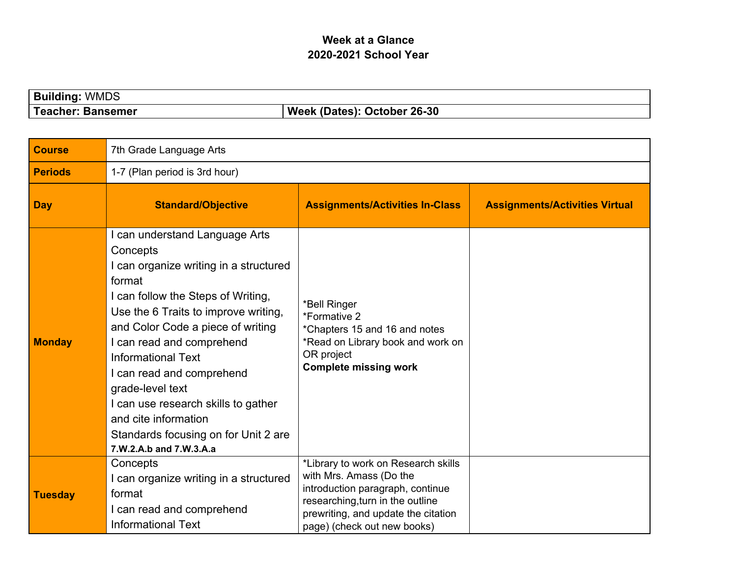## **Week at a Glance 2020-2021 School Year**

| <b>Building:</b><br><b>WMDS</b> |                             |
|---------------------------------|-----------------------------|
| Teacher: Bansemer               | Week (Dates): October 26-30 |

| <b>Course</b>  | 7th Grade Language Arts                                                                                                                                                                                                                                                                                                                                                                                                                                        |                                                                                                                                                                                                              |                                       |
|----------------|----------------------------------------------------------------------------------------------------------------------------------------------------------------------------------------------------------------------------------------------------------------------------------------------------------------------------------------------------------------------------------------------------------------------------------------------------------------|--------------------------------------------------------------------------------------------------------------------------------------------------------------------------------------------------------------|---------------------------------------|
| <b>Periods</b> | 1-7 (Plan period is 3rd hour)                                                                                                                                                                                                                                                                                                                                                                                                                                  |                                                                                                                                                                                                              |                                       |
| <b>Day</b>     | <b>Standard/Objective</b>                                                                                                                                                                                                                                                                                                                                                                                                                                      | <b>Assignments/Activities In-Class</b>                                                                                                                                                                       | <b>Assignments/Activities Virtual</b> |
| <b>Monday</b>  | I can understand Language Arts<br>Concepts<br>I can organize writing in a structured<br>format<br>I can follow the Steps of Writing,<br>Use the 6 Traits to improve writing,<br>and Color Code a piece of writing<br>I can read and comprehend<br><b>Informational Text</b><br>I can read and comprehend<br>grade-level text<br>I can use research skills to gather<br>and cite information<br>Standards focusing on for Unit 2 are<br>7.W.2.A.b and 7.W.3.A.a | *Bell Ringer<br>*Formative 2<br>*Chapters 15 and 16 and notes<br>*Read on Library book and work on<br>OR project<br><b>Complete missing work</b>                                                             |                                       |
| <b>Tuesday</b> | Concepts<br>I can organize writing in a structured<br>format<br>I can read and comprehend<br><b>Informational Text</b>                                                                                                                                                                                                                                                                                                                                         | *Library to work on Research skills<br>with Mrs. Amass (Do the<br>introduction paragraph, continue<br>researching, turn in the outline<br>prewriting, and update the citation<br>page) (check out new books) |                                       |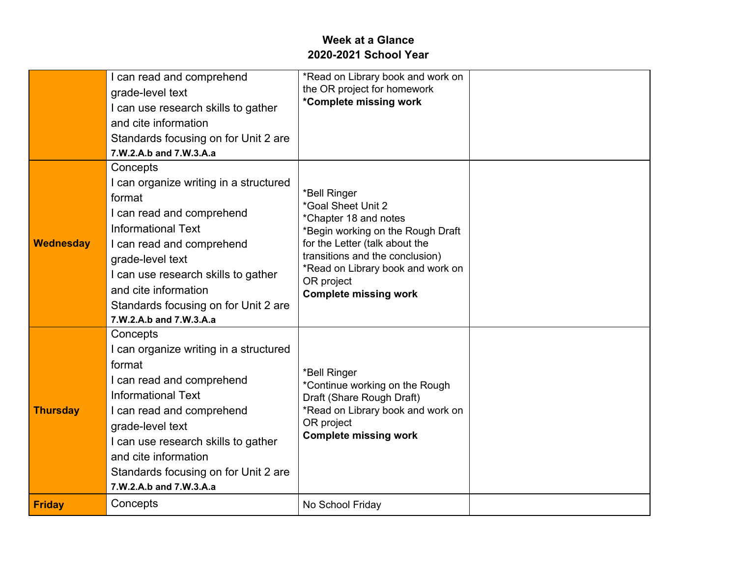## **Week at a Glance 2020-2021 School Year**

|                  | I can read and comprehend<br>grade-level text<br>I can use research skills to gather<br>and cite information<br>Standards focusing on for Unit 2 are<br>7.W.2.A.b and 7.W.3.A.a                                                                                                                           | *Read on Library book and work on<br>the OR project for homework<br>*Complete missing work                                                                                                                                                               |  |
|------------------|-----------------------------------------------------------------------------------------------------------------------------------------------------------------------------------------------------------------------------------------------------------------------------------------------------------|----------------------------------------------------------------------------------------------------------------------------------------------------------------------------------------------------------------------------------------------------------|--|
| <b>Wednesday</b> | Concepts<br>I can organize writing in a structured<br>format<br>I can read and comprehend<br><b>Informational Text</b><br>I can read and comprehend<br>grade-level text<br>I can use research skills to gather<br>and cite information<br>Standards focusing on for Unit 2 are<br>7.W.2.A.b and 7.W.3.A.a | *Bell Ringer<br>*Goal Sheet Unit 2<br>*Chapter 18 and notes<br>*Begin working on the Rough Draft<br>for the Letter (talk about the<br>transitions and the conclusion)<br>*Read on Library book and work on<br>OR project<br><b>Complete missing work</b> |  |
| <b>Thursday</b>  | Concepts<br>I can organize writing in a structured<br>format<br>I can read and comprehend<br><b>Informational Text</b><br>I can read and comprehend<br>grade-level text<br>I can use research skills to gather<br>and cite information<br>Standards focusing on for Unit 2 are<br>7.W.2.A.b and 7.W.3.A.a | *Bell Ringer<br>*Continue working on the Rough<br>Draft (Share Rough Draft)<br>*Read on Library book and work on<br>OR project<br><b>Complete missing work</b>                                                                                           |  |
| <b>Friday</b>    | Concepts                                                                                                                                                                                                                                                                                                  | No School Friday                                                                                                                                                                                                                                         |  |